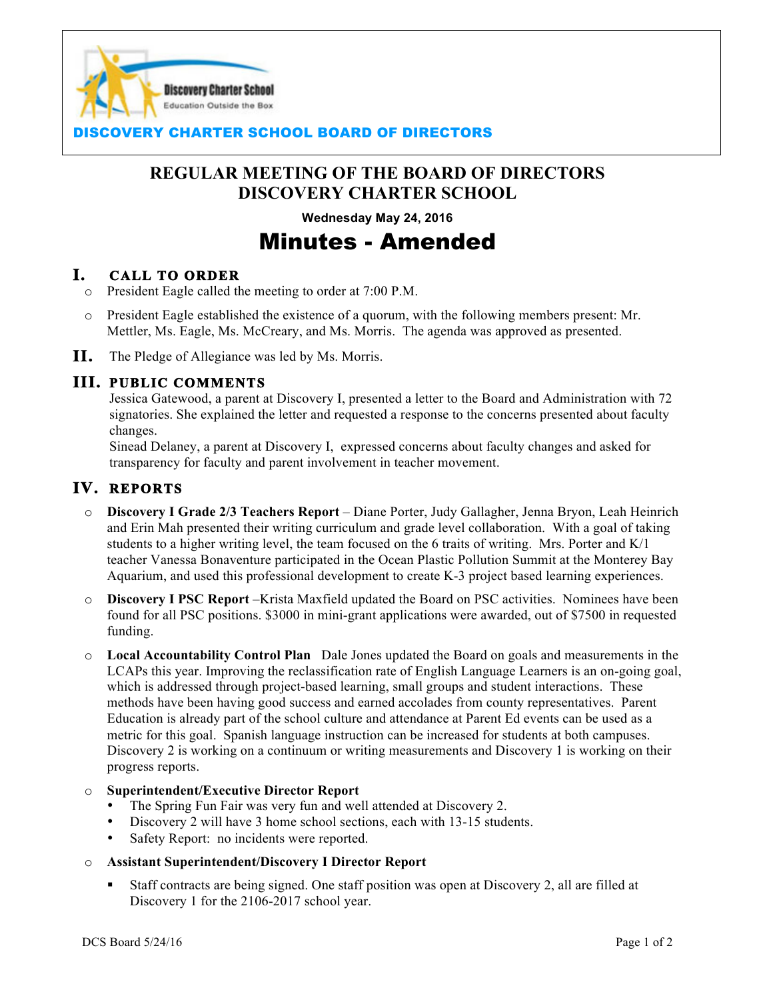

## **SCOVERY CHARTER SCHOOL BOARD OF DIRECTORS**

## **REGULAR MEETING OF THE BOARD OF DIRECTORS DISCOVERY CHARTER SCHOOL**

 $\overline{a}$ 

**Wednesday May 24, 2016**

# Minutes - Amended

## **I. CALL TO ORDER**

- o President Eagle called the meeting to order at 7:00 P.M.
- o President Eagle established the existence of a quorum, with the following members present: Mr. Mettler, Ms. Eagle, Ms. McCreary, and Ms. Morris. The agenda was approved as presented.
- **II.** The Pledge of Allegiance was led by Ms. Morris.

## **III. PUBLIC COMMENTS**

Jessica Gatewood, a parent at Discovery I, presented a letter to the Board and Administration with 72 signatories. She explained the letter and requested a response to the concerns presented about faculty changes.

Sinead Delaney, a parent at Discovery I, expressed concerns about faculty changes and asked for transparency for faculty and parent involvement in teacher movement.

## **IV. REPORTS**

- o **Discovery I Grade 2/3 Teachers Report** Diane Porter, Judy Gallagher, Jenna Bryon, Leah Heinrich and Erin Mah presented their writing curriculum and grade level collaboration. With a goal of taking students to a higher writing level, the team focused on the 6 traits of writing. Mrs. Porter and K/1 teacher Vanessa Bonaventure participated in the Ocean Plastic Pollution Summit at the Monterey Bay Aquarium, and used this professional development to create K-3 project based learning experiences.
- o **Discovery I PSC Report** –Krista Maxfield updated the Board on PSC activities. Nominees have been found for all PSC positions. \$3000 in mini-grant applications were awarded, out of \$7500 in requested funding.
- o **Local Accountability Control Plan** Dale Jones updated the Board on goals and measurements in the LCAPs this year. Improving the reclassification rate of English Language Learners is an on-going goal, which is addressed through project-based learning, small groups and student interactions. These methods have been having good success and earned accolades from county representatives. Parent Education is already part of the school culture and attendance at Parent Ed events can be used as a metric for this goal. Spanish language instruction can be increased for students at both campuses. Discovery 2 is working on a continuum or writing measurements and Discovery 1 is working on their progress reports.

#### o **Superintendent/Executive Director Report**

- The Spring Fun Fair was very fun and well attended at Discovery 2.
- Discovery 2 will have 3 home school sections, each with 13-15 students.
- Safety Report: no incidents were reported.

#### o **Assistant Superintendent/Discovery I Director Report**

! Staff contracts are being signed. One staff position was open at Discovery 2, all are filled at Discovery 1 for the 2106-2017 school year.